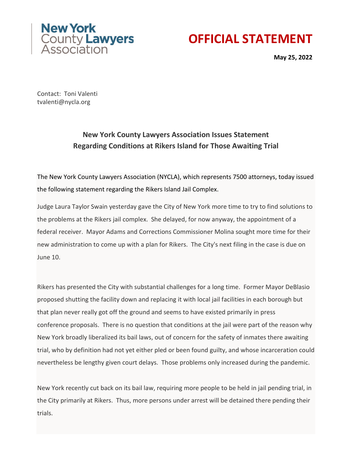



**May 25, 2022** 

Contact: Toni Valenti tvalenti@nycla.org

## **New York County Lawyers Association Issues Statement Regarding Conditions at Rikers Island for Those Awaiting Trial**

The New York County Lawyers Association (NYCLA), which represents 7500 attorneys, today issued the following statement regarding the Rikers Island Jail Complex.

Judge Laura Taylor Swain yesterday gave the City of New York more time to try to find solutions to the problems at the Rikers jail complex. She delayed, for now anyway, the appointment of a federal receiver. Mayor Adams and Corrections Commissioner Molina sought more time for their new administration to come up with a plan for Rikers. The City's next filing in the case is due on June 10.

Rikers has presented the City with substantial challenges for a long time. Former Mayor DeBlasio proposed shutting the facility down and replacing it with local jail facilities in each borough but that plan never really got off the ground and seems to have existed primarily in press conference proposals. There is no question that conditions at the jail were part of the reason why New York broadly liberalized its bail laws, out of concern for the safety of inmates there awaiting trial, who by definition had not yet either pled or been found guilty, and whose incarceration could nevertheless be lengthy given court delays. Those problems only increased during the pandemic.

New York recently cut back on its bail law, requiring more people to be held in jail pending trial, in the City primarily at Rikers. Thus, more persons under arrest will be detained there pending their trials.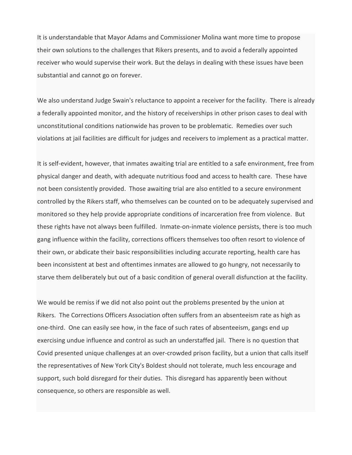It is understandable that Mayor Adams and Commissioner Molina want more time to propose their own solutions to the challenges that Rikers presents, and to avoid a federally appointed receiver who would supervise their work. But the delays in dealing with these issues have been substantial and cannot go on forever.

We also understand Judge Swain's reluctance to appoint a receiver for the facility. There is already a federally appointed monitor, and the history of receiverships in other prison cases to deal with unconstitutional conditions nationwide has proven to be problematic. Remedies over such violations at jail facilities are difficult for judges and receivers to implement as a practical matter.

It is self-evident, however, that inmates awaiting trial are entitled to a safe environment, free from physical danger and death, with adequate nutritious food and access to health care. These have not been consistently provided. Those awaiting trial are also entitled to a secure environment controlled by the Rikers staff, who themselves can be counted on to be adequately supervised and monitored so they help provide appropriate conditions of incarceration free from violence. But these rights have not always been fulfilled. Inmate-on-inmate violence persists, there is too much gang influence within the facility, corrections officers themselves too often resort to violence of their own, or abdicate their basic responsibilities including accurate reporting, health care has been inconsistent at best and oftentimes inmates are allowed to go hungry, not necessarily to starve them deliberately but out of a basic condition of general overall disfunction at the facility.

We would be remiss if we did not also point out the problems presented by the union at Rikers. The Corrections Officers Association often suffers from an absenteeism rate as high as one-third. One can easily see how, in the face of such rates of absenteeism, gangs end up exercising undue influence and control as such an understaffed jail. There is no question that Covid presented unique challenges at an over-crowded prison facility, but a union that calls itself the representatives of New York City's Boldest should not tolerate, much less encourage and support, such bold disregard for their duties. This disregard has apparently been without consequence, so others are responsible as well.